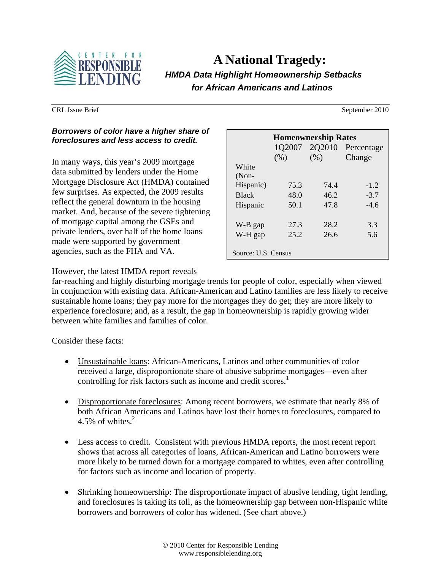

# **A National Tragedy:**   *HMDA Data Highlight Homeownership Setbacks for African Americans and Latinos*

### *Borrowers of color have a higher share of foreclosures and less access to credit.*

In many ways, this year's 2009 mortgage data submitted by lenders under the Home Mortgage Disclosure Act (HMDA) contained few surprises. As expected, the 2009 results reflect the general downturn in the housing market. And, because of the severe tightening of mortgage capital among the GSEs and private lenders, over half of the home loans made were supported by government agencies, such as the FHA and VA.

| <b>Homeownership Rates</b> |        |        |            |
|----------------------------|--------|--------|------------|
|                            | 1Q2007 | 2Q2010 | Percentage |
|                            | (% )   | (% )   | Change     |
| White                      |        |        |            |
| $(Non-$                    |        |        |            |
| Hispanic)                  | 75.3   | 74.4   | $-1.2$     |
| <b>Black</b>               | 48.0   | 46.2   | $-3.7$     |
| Hispanic                   | 50.1   | 47.8   | $-4.6$     |
|                            |        |        |            |
| W-B gap                    | 27.3   | 28.2   | 3.3        |
| W-H gap                    | 25.2   | 26.6   | 5.6        |
|                            |        |        |            |
| Source: U.S. Census        |        |        |            |

However, the latest HMDA report reveals

far-reaching and highly disturbing mortgage trends for people of color, especially when viewed in conjunction with existing data. African-American and Latino families are less likely to receive sustainable home loans; they pay more for the mortgages they do get; they are more likely to experience foreclosure; and, as a result, the gap in homeownership is rapidly growing wider between white families and families of color.

Consider these facts:

- Unsustainable loans: African-Americans, Latinos and other communities of color received a large, disproportionate share of abusive subprime mortgages—even after controlling for risk factors such as income and credit scores.<sup>1</sup>
- Disproportionate foreclosures: Among recent borrowers, we estimate that nearly 8% of both African Americans and Latinos have lost their homes to foreclosures, compared to 4.5% of whites. $2$
- Less access to credit. Consistent with previous HMDA reports, the most recent report shows that across all categories of loans, African-American and Latino borrowers were more likely to be turned down for a mortgage compared to whites, even after controlling for factors such as income and location of property.
- Shrinking homeownership: The disproportionate impact of abusive lending, tight lending, and foreclosures is taking its toll, as the homeownership gap between non-Hispanic white borrowers and borrowers of color has widened. (See chart above.)

CRL Issue Brief September 2010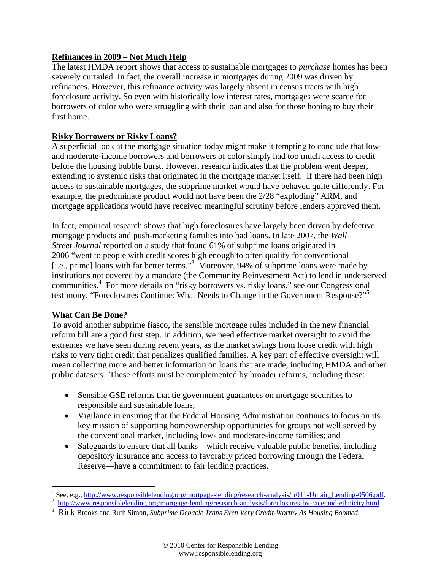## **Refinances in 2009 – Not Much Help**

The latest HMDA report shows that access to sustainable mortgages to *purchase* homes has been severely curtailed. In fact, the overall increase in mortgages during 2009 was driven by refinances. However, this refinance activity was largely absent in census tracts with high foreclosure activity. So even with historically low interest rates, mortgages were scarce for borrowers of color who were struggling with their loan and also for those hoping to buy their first home.

# **Risky Borrowers or Risky Loans?**

A superficial look at the mortgage situation today might make it tempting to conclude that lowand moderate-income borrowers and borrowers of color simply had too much access to credit before the housing bubble burst. However, research indicates that the problem went deeper, extending to systemic risks that originated in the mortgage market itself. If there had been high access to sustainable mortgages, the subprime market would have behaved quite differently. For example, the predominate product would not have been the 2/28 "exploding" ARM, and mortgage applications would have received meaningful scrutiny before lenders approved them.

In fact, empirical research shows that high foreclosures have largely been driven by defective mortgage products and push-marketing families into bad loans. In late 2007, the *Wall Street Journal* reported on a study that found 61% of subprime loans originated in 2006 "went to people with credit scores high enough to often qualify for conventional [i.e., prime] loans with far better terms."<sup>3</sup> Moreover, 94% of subprime loans were made by institutions not covered by a mandate (the Community Reinvestment Act) to lend in underserved communities.<sup>4</sup> For more details on "risky borrowers vs. risky loans," see our Congressional testimony, "Foreclosures Continue: What Needs to Change in the Government Response?"5

## **What Can Be Done?**

To avoid another subprime fiasco, the sensible mortgage rules included in the new financial reform bill are a good first step. In addition, we need effective market oversight to avoid the extremes we have seen during recent years, as the market swings from loose credit with high risks to very tight credit that penalizes qualified families. A key part of effective oversight will mean collecting more and better information on loans that are made, including HMDA and other public datasets. These efforts must be complemented by broader reforms, including these:

- Sensible GSE reforms that tie government guarantees on mortgage securities to responsible and sustainable loans;
- Vigilance in ensuring that the Federal Housing Administration continues to focus on its key mission of supporting homeownership opportunities for groups not well served by the conventional market, including low- and moderate-income families; and
- Safeguards to ensure that all banks—which receive valuable public benefits, including depository insurance and access to favorably priced borrowing through the Federal Reserve—have a commitment to fair lending practices.

<sup>1</sup> <sup>1</sup> See, e.g., http://www.responsiblelending.org/mortgage-lending/research-analysis/rr011-Unfair\_Lending-0506.pdf.  $\frac{2}{3}$  http://www.responsiblelending.org/mortgage-lending/research-analysis/rr011-Unfair\_Lending-0506.p

<sup>&</sup>lt;sup>2</sup> http://www.responsiblelending.org/mortgage-lending/research-analysis/foreclosures-by-race-and-ethnicity.html

<sup>3</sup> Rick Brooks and Ruth Simon, *Subprime Debacle Traps Even Very Credit-Worthy As Housing Boomed,*